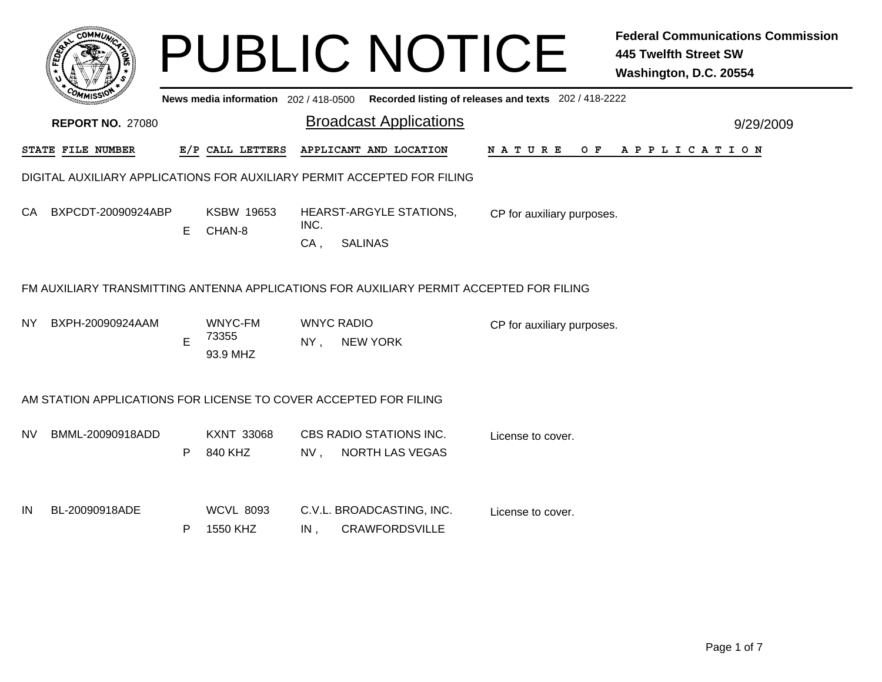|     | $c$ OMM $\vec{u}$                                                                       |    |                                       |                | <b>PUBLIC NOTICE</b>                               |                                                       | <b>Federal Communications Commission</b><br><b>445 Twelfth Street SW</b><br>Washington, D.C. 20554 |  |  |  |
|-----|-----------------------------------------------------------------------------------------|----|---------------------------------------|----------------|----------------------------------------------------|-------------------------------------------------------|----------------------------------------------------------------------------------------------------|--|--|--|
|     |                                                                                         |    | News media information 202 / 418-0500 |                |                                                    | Recorded listing of releases and texts 202 / 418-2222 |                                                                                                    |  |  |  |
|     | <b>REPORT NO. 27080</b>                                                                 |    |                                       |                | <b>Broadcast Applications</b>                      |                                                       | 9/29/2009                                                                                          |  |  |  |
|     | STATE FILE NUMBER                                                                       |    | E/P CALL LETTERS                      |                | APPLICANT AND LOCATION                             | NATURE<br>O F                                         | A P P L I C A T I O N                                                                              |  |  |  |
|     | DIGITAL AUXILIARY APPLICATIONS FOR AUXILIARY PERMIT ACCEPTED FOR FILING                 |    |                                       |                |                                                    |                                                       |                                                                                                    |  |  |  |
| CA. | BXPCDT-20090924ABP                                                                      | E. | <b>KSBW 19653</b><br>CHAN-8           | INC.<br>$CA$ , | HEARST-ARGYLE STATIONS,<br><b>SALINAS</b>          | CP for auxiliary purposes.                            |                                                                                                    |  |  |  |
|     | FM AUXILIARY TRANSMITTING ANTENNA APPLICATIONS FOR AUXILIARY PERMIT ACCEPTED FOR FILING |    |                                       |                |                                                    |                                                       |                                                                                                    |  |  |  |
| NY. | BXPH-20090924AAM                                                                        | E  | WNYC-FM<br>73355<br>93.9 MHZ          | NY,            | <b>WNYC RADIO</b><br><b>NEW YORK</b>               | CP for auxiliary purposes.                            |                                                                                                    |  |  |  |
|     | AM STATION APPLICATIONS FOR LICENSE TO COVER ACCEPTED FOR FILING                        |    |                                       |                |                                                    |                                                       |                                                                                                    |  |  |  |
| NV. | BMML-20090918ADD                                                                        | P  | <b>KXNT 33068</b><br>840 KHZ          | NV.            | CBS RADIO STATIONS INC.<br><b>NORTH LAS VEGAS</b>  | License to cover.                                     |                                                                                                    |  |  |  |
| IN  | BL-20090918ADE                                                                          | P. | <b>WCVL 8093</b><br>1550 KHZ          | IN,            | C.V.L. BROADCASTING, INC.<br><b>CRAWFORDSVILLE</b> | License to cover.                                     |                                                                                                    |  |  |  |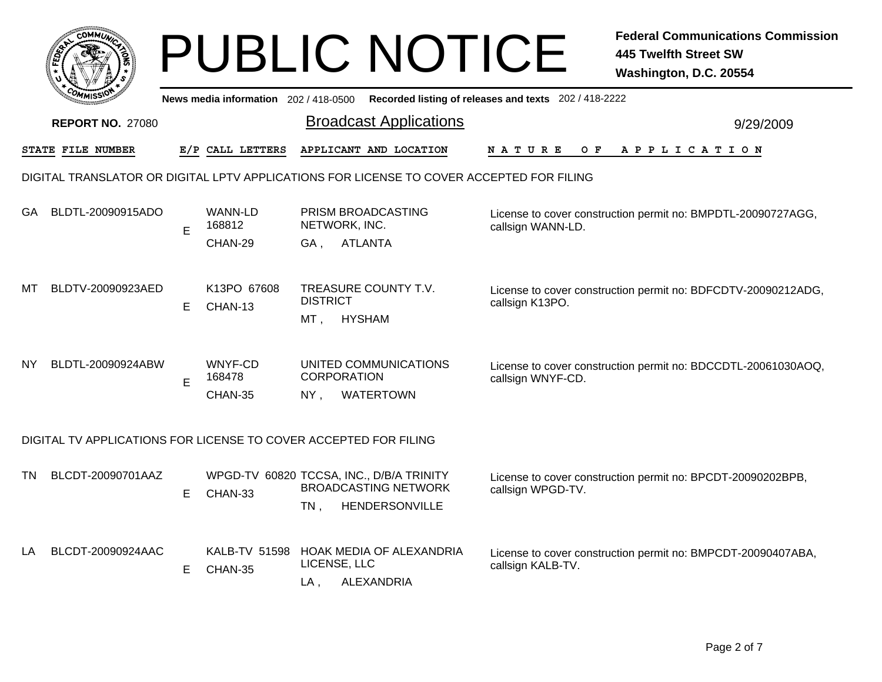|                                                                  | <b>COMMUT</b>                                                                            |    |                                       |                           | <b>PUBLIC NOTICE</b>                                                                      |                                                       | <b>Federal Communications Commission</b><br><b>445 Twelfth Street SW</b><br>Washington, D.C. 20554 |  |
|------------------------------------------------------------------|------------------------------------------------------------------------------------------|----|---------------------------------------|---------------------------|-------------------------------------------------------------------------------------------|-------------------------------------------------------|----------------------------------------------------------------------------------------------------|--|
|                                                                  |                                                                                          |    | News media information 202 / 418-0500 |                           |                                                                                           | Recorded listing of releases and texts 202 / 418-2222 |                                                                                                    |  |
|                                                                  | <b>REPORT NO. 27080</b>                                                                  |    |                                       |                           | <b>Broadcast Applications</b>                                                             |                                                       | 9/29/2009                                                                                          |  |
|                                                                  | STATE FILE NUMBER                                                                        |    | E/P CALL LETTERS                      |                           | APPLICANT AND LOCATION                                                                    | N A T U R E<br>O F                                    | A P P L I C A T I O N                                                                              |  |
|                                                                  | DIGITAL TRANSLATOR OR DIGITAL LPTV APPLICATIONS FOR LICENSE TO COVER ACCEPTED FOR FILING |    |                                       |                           |                                                                                           |                                                       |                                                                                                    |  |
| GA.                                                              | BLDTL-20090915ADO                                                                        | E  | WANN-LD<br>168812<br>CHAN-29          | NETWORK, INC.<br>GA,      | PRISM BROADCASTING<br><b>ATLANTA</b>                                                      | callsign WANN-LD.                                     | License to cover construction permit no: BMPDTL-20090727AGG,                                       |  |
| МT                                                               | BLDTV-20090923AED                                                                        | E. | K13PO 67608<br>CHAN-13                | <b>DISTRICT</b><br>MT ,   | TREASURE COUNTY T.V.<br><b>HYSHAM</b>                                                     | callsign K13PO.                                       | License to cover construction permit no: BDFCDTV-20090212ADG,                                      |  |
| <b>NY</b>                                                        | BLDTL-20090924ABW                                                                        | E  | WNYF-CD<br>168478<br>CHAN-35          | <b>CORPORATION</b><br>NY, | UNITED COMMUNICATIONS<br>WATERTOWN                                                        | callsign WNYF-CD.                                     | License to cover construction permit no: BDCCDTL-20061030AOQ,                                      |  |
| DIGITAL TV APPLICATIONS FOR LICENSE TO COVER ACCEPTED FOR FILING |                                                                                          |    |                                       |                           |                                                                                           |                                                       |                                                                                                    |  |
| ΤN                                                               | BLCDT-20090701AAZ                                                                        | E. | CHAN-33                               | $TN$ ,                    | WPGD-TV 60820 TCCSA, INC., D/B/A TRINITY<br><b>BROADCASTING NETWORK</b><br>HENDERSONVILLE | callsign WPGD-TV.                                     | License to cover construction permit no: BPCDT-20090202BPB,                                        |  |
| LA                                                               | BLCDT-20090924AAC                                                                        | Е  | KALB-TV 51598<br>CHAN-35              | LICENSE, LLC<br>LA,       | HOAK MEDIA OF ALEXANDRIA<br>ALEXANDRIA                                                    | callsign KALB-TV.                                     | License to cover construction permit no: BMPCDT-20090407ABA,                                       |  |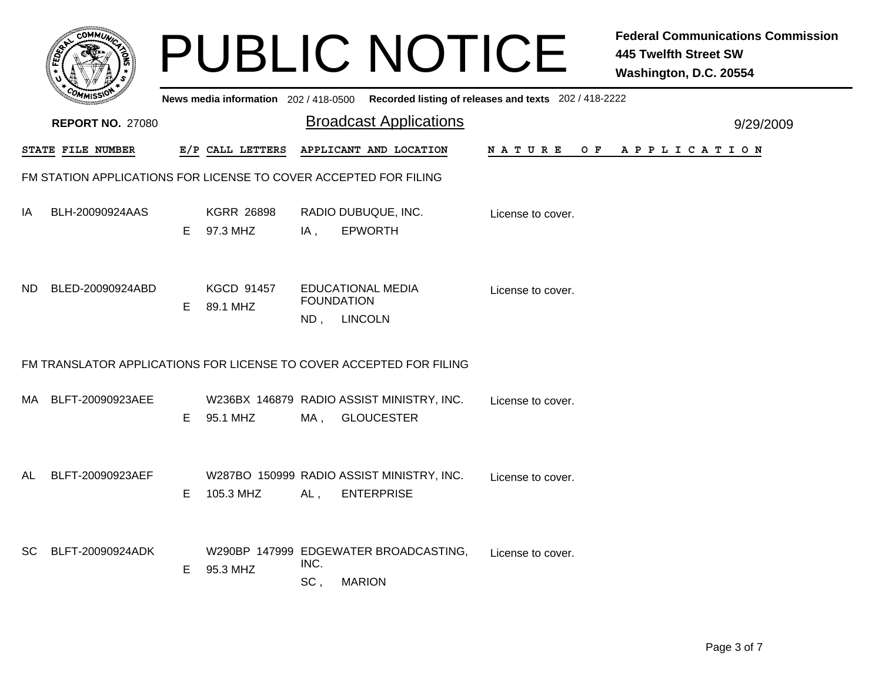|           |                                                                  |    |                               |             | <b>PUBLIC NOTICE</b>                                                                    |                    | <b>Federal Communications Commission</b><br><b>445 Twelfth Street SW</b><br>Washington, D.C. 20554 |
|-----------|------------------------------------------------------------------|----|-------------------------------|-------------|-----------------------------------------------------------------------------------------|--------------------|----------------------------------------------------------------------------------------------------|
|           |                                                                  |    |                               |             | News media information 202/418-0500 Recorded listing of releases and texts 202/418-2222 |                    |                                                                                                    |
|           | <b>REPORT NO. 27080</b>                                          |    |                               |             | <b>Broadcast Applications</b>                                                           |                    | 9/29/2009                                                                                          |
|           | STATE FILE NUMBER                                                |    | E/P CALL LETTERS              |             | APPLICANT AND LOCATION                                                                  | N A T U R E<br>O F | A P P L I C A T I O N                                                                              |
|           | FM STATION APPLICATIONS FOR LICENSE TO COVER ACCEPTED FOR FILING |    |                               |             |                                                                                         |                    |                                                                                                    |
| ΙA        | BLH-20090924AAS                                                  | E. | <b>KGRR 26898</b><br>97.3 MHZ | IA,         | RADIO DUBUQUE, INC.<br><b>EPWORTH</b>                                                   | License to cover.  |                                                                                                    |
| ND.       | BLED-20090924ABD                                                 | E  | <b>KGCD 91457</b><br>89.1 MHZ | ND,         | <b>EDUCATIONAL MEDIA</b><br><b>FOUNDATION</b><br><b>LINCOLN</b>                         | License to cover.  |                                                                                                    |
|           |                                                                  |    |                               |             | FM TRANSLATOR APPLICATIONS FOR LICENSE TO COVER ACCEPTED FOR FILING                     |                    |                                                                                                    |
| MA.       | BLFT-20090923AEE                                                 | E. | 95.1 MHZ                      | MA,         | W236BX 146879 RADIO ASSIST MINISTRY, INC.<br><b>GLOUCESTER</b>                          | License to cover.  |                                                                                                    |
| AL        | BLFT-20090923AEF                                                 | E  | 105.3 MHZ                     | AL,         | W287BO 150999 RADIO ASSIST MINISTRY, INC.<br><b>ENTERPRISE</b>                          | License to cover.  |                                                                                                    |
| <b>SC</b> | BLFT-20090924ADK                                                 | E. | 95.3 MHZ                      | INC.<br>SC, | W290BP 147999 EDGEWATER BROADCASTING,<br><b>MARION</b>                                  | License to cover.  |                                                                                                    |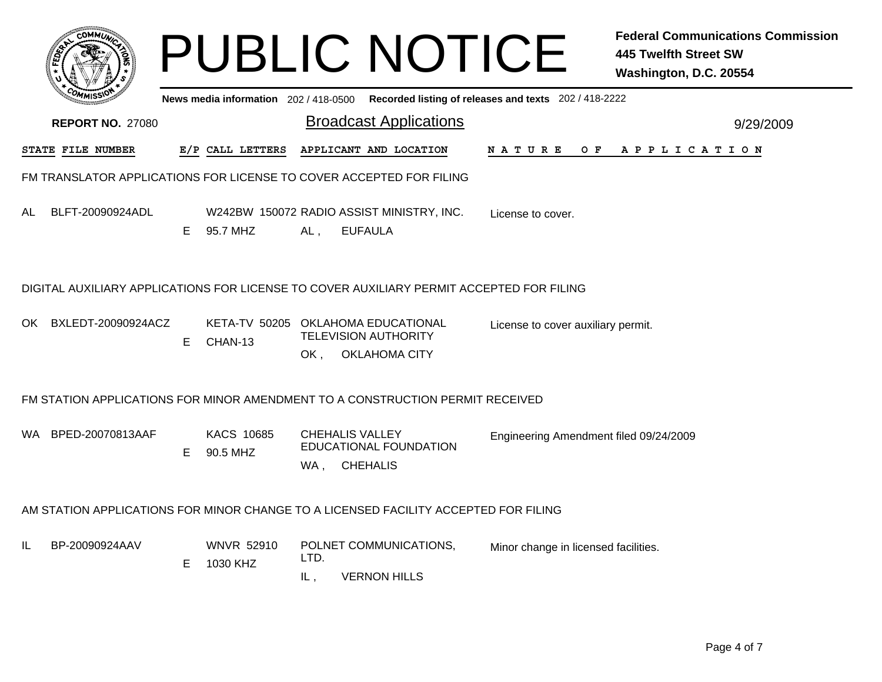|    | COMMUN                                                                                   |    |                                               |                                        | <b>PUBLIC NOTICE</b>                                        |                                                       | <b>Federal Communications Commission</b><br><b>445 Twelfth Street SW</b><br>Washington, D.C. 20554 |
|----|------------------------------------------------------------------------------------------|----|-----------------------------------------------|----------------------------------------|-------------------------------------------------------------|-------------------------------------------------------|----------------------------------------------------------------------------------------------------|
|    |                                                                                          |    | News media information 202/418-0500           |                                        |                                                             | Recorded listing of releases and texts 202 / 418-2222 |                                                                                                    |
|    | <b>REPORT NO. 27080</b>                                                                  |    |                                               |                                        | <b>Broadcast Applications</b>                               |                                                       | 9/29/2009                                                                                          |
|    | STATE FILE NUMBER                                                                        |    | E/P CALL LETTERS                              |                                        | APPLICANT AND LOCATION                                      | N A T U R E<br>O F                                    | A P P L I C A T I O N                                                                              |
|    | FM TRANSLATOR APPLICATIONS FOR LICENSE TO COVER ACCEPTED FOR FILING                      |    |                                               |                                        |                                                             |                                                       |                                                                                                    |
| AL | BLFT-20090924ADL                                                                         | E. | 95.7 MHZ                                      | AL,                                    | W242BW 150072 RADIO ASSIST MINISTRY, INC.<br><b>EUFAULA</b> | License to cover.                                     |                                                                                                    |
|    | DIGITAL AUXILIARY APPLICATIONS FOR LICENSE TO COVER AUXILIARY PERMIT ACCEPTED FOR FILING |    |                                               |                                        |                                                             |                                                       |                                                                                                    |
|    | OK BXLEDT-20090924ACZ                                                                    | Е  | KETA-TV 50205 OKLAHOMA EDUCATIONAL<br>CHAN-13 | OK.                                    | <b>TELEVISION AUTHORITY</b><br><b>OKLAHOMA CITY</b>         | License to cover auxiliary permit.                    |                                                                                                    |
|    | FM STATION APPLICATIONS FOR MINOR AMENDMENT TO A CONSTRUCTION PERMIT RECEIVED            |    |                                               |                                        |                                                             |                                                       |                                                                                                    |
|    | WA BPED-20070813AAF                                                                      | E. | <b>KACS 10685</b><br>90.5 MHZ                 | <b>CHEHALIS VALLEY</b><br>WA, CHEHALIS | <b>EDUCATIONAL FOUNDATION</b>                               | Engineering Amendment filed 09/24/2009                |                                                                                                    |
|    | AM STATION APPLICATIONS FOR MINOR CHANGE TO A LICENSED FACILITY ACCEPTED FOR FILING      |    |                                               |                                        |                                                             |                                                       |                                                                                                    |
| IL | BP-20090924AAV                                                                           | E. | <b>WNVR 52910</b><br>1030 KHZ                 | LTD.<br>IL,                            | POLNET COMMUNICATIONS,<br><b>VERNON HILLS</b>               | Minor change in licensed facilities.                  |                                                                                                    |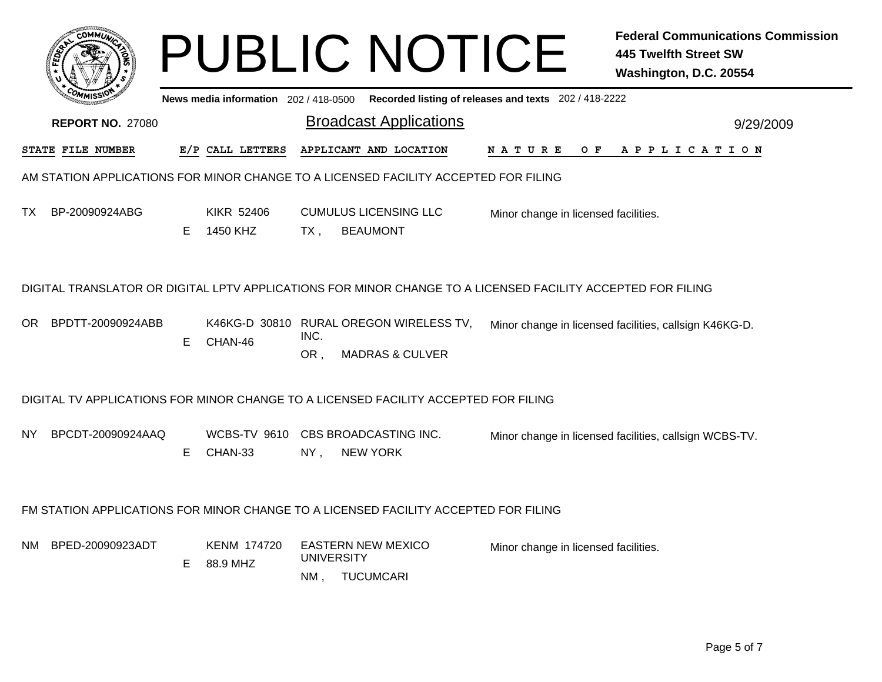|      |                         |    |                                       |                          | <b>PUBLIC NOTICE</b>                                                                                        |                                                       | <b>Federal Communications Commission</b><br><b>445 Twelfth Street SW</b><br>Washington, D.C. 20554 |
|------|-------------------------|----|---------------------------------------|--------------------------|-------------------------------------------------------------------------------------------------------------|-------------------------------------------------------|----------------------------------------------------------------------------------------------------|
|      |                         |    | News media information 202 / 418-0500 |                          |                                                                                                             | Recorded listing of releases and texts 202 / 418-2222 |                                                                                                    |
|      | <b>REPORT NO. 27080</b> |    |                                       |                          | <b>Broadcast Applications</b>                                                                               |                                                       | 9/29/2009                                                                                          |
|      | STATE FILE NUMBER       |    | E/P CALL LETTERS                      |                          | APPLICANT AND LOCATION                                                                                      | O F<br>N A T U R E                                    | A P P L I C A T I O N                                                                              |
|      |                         |    |                                       |                          | AM STATION APPLICATIONS FOR MINOR CHANGE TO A LICENSED FACILITY ACCEPTED FOR FILING                         |                                                       |                                                                                                    |
| TX . | BP-20090924ABG          | E. | KIKR 52406<br>1450 KHZ                | TX ,                     | <b>CUMULUS LICENSING LLC</b><br><b>BEAUMONT</b>                                                             | Minor change in licensed facilities.                  |                                                                                                    |
|      |                         |    |                                       |                          | DIGITAL TRANSLATOR OR DIGITAL LPTV APPLICATIONS FOR MINOR CHANGE TO A LICENSED FACILITY ACCEPTED FOR FILING |                                                       |                                                                                                    |
|      | OR BPDTT-20090924ABB    | E. | CHAN-46                               | INC.<br>OR,              | K46KG-D 30810 RURAL OREGON WIRELESS TV,<br><b>MADRAS &amp; CULVER</b>                                       |                                                       | Minor change in licensed facilities, callsign K46KG-D.                                             |
|      |                         |    |                                       |                          | DIGITAL TV APPLICATIONS FOR MINOR CHANGE TO A LICENSED FACILITY ACCEPTED FOR FILING                         |                                                       |                                                                                                    |
| NY.  | BPCDT-20090924AAQ       | E. | CHAN-33                               | $NY$ ,                   | WCBS-TV 9610 CBS BROADCASTING INC.<br><b>NEW YORK</b>                                                       |                                                       | Minor change in licensed facilities, callsign WCBS-TV.                                             |
|      |                         |    |                                       |                          | FM STATION APPLICATIONS FOR MINOR CHANGE TO A LICENSED FACILITY ACCEPTED FOR FILING                         |                                                       |                                                                                                    |
|      | NM BPED-20090923ADT     | Е  | KENM 174720<br>88.9 MHZ               | <b>UNIVERSITY</b><br>NM, | <b>EASTERN NEW MEXICO</b><br><b>TUCUMCARI</b>                                                               | Minor change in licensed facilities.                  |                                                                                                    |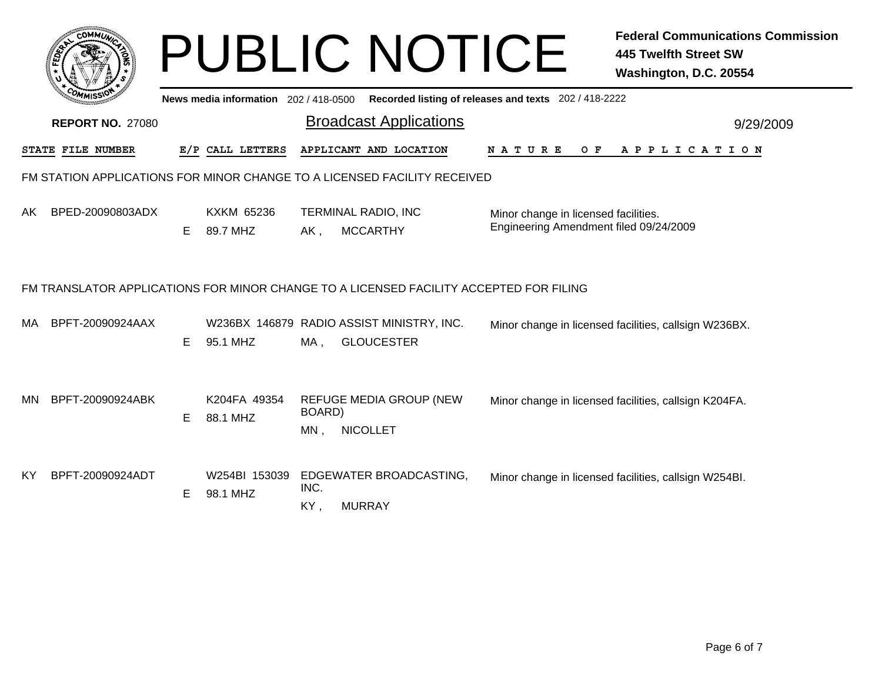|     | <b>COMMUT</b>           |   | News media information 202 / 418-0500 |                  | <b>PUBLIC NOTICE</b>                                                                   | Recorded listing of releases and texts 202 / 418-2222                          | <b>Federal Communications Commission</b><br><b>445 Twelfth Street SW</b><br>Washington, D.C. 20554 |
|-----|-------------------------|---|---------------------------------------|------------------|----------------------------------------------------------------------------------------|--------------------------------------------------------------------------------|----------------------------------------------------------------------------------------------------|
|     | <b>REPORT NO. 27080</b> |   |                                       |                  | <b>Broadcast Applications</b>                                                          |                                                                                | 9/29/2009                                                                                          |
|     | STATE FILE NUMBER       |   | E/P CALL LETTERS                      |                  | APPLICANT AND LOCATION                                                                 | N A T U R E<br>O F                                                             | A P P L I C A T I O N                                                                              |
|     |                         |   |                                       |                  | FM STATION APPLICATIONS FOR MINOR CHANGE TO A LICENSED FACILITY RECEIVED               |                                                                                |                                                                                                    |
| AK. | BPED-20090803ADX        | E | <b>KXKM 65236</b><br>89.7 MHZ         | AK,              | TERMINAL RADIO, INC<br><b>MCCARTHY</b>                                                 | Minor change in licensed facilities.<br>Engineering Amendment filed 09/24/2009 |                                                                                                    |
|     |                         |   |                                       |                  | FM TRANSLATOR APPLICATIONS FOR MINOR CHANGE TO A LICENSED FACILITY ACCEPTED FOR FILING |                                                                                |                                                                                                    |
| MA. | BPFT-20090924AAX        | E | 95.1 MHZ                              | MA,              | W236BX 146879 RADIO ASSIST MINISTRY, INC.<br><b>GLOUCESTER</b>                         |                                                                                | Minor change in licensed facilities, callsign W236BX.                                              |
| MN. | BPFT-20090924ABK        | E | K204FA 49354<br>88.1 MHZ              | BOARD)<br>$MN$ , | REFUGE MEDIA GROUP (NEW<br><b>NICOLLET</b>                                             |                                                                                | Minor change in licensed facilities, callsign K204FA.                                              |
| КY  | BPFT-20090924ADT        | Е | W254BI 153039<br>98.1 MHZ             | INC.<br>KY,      | EDGEWATER BROADCASTING,<br><b>MURRAY</b>                                               |                                                                                | Minor change in licensed facilities, callsign W254BI.                                              |